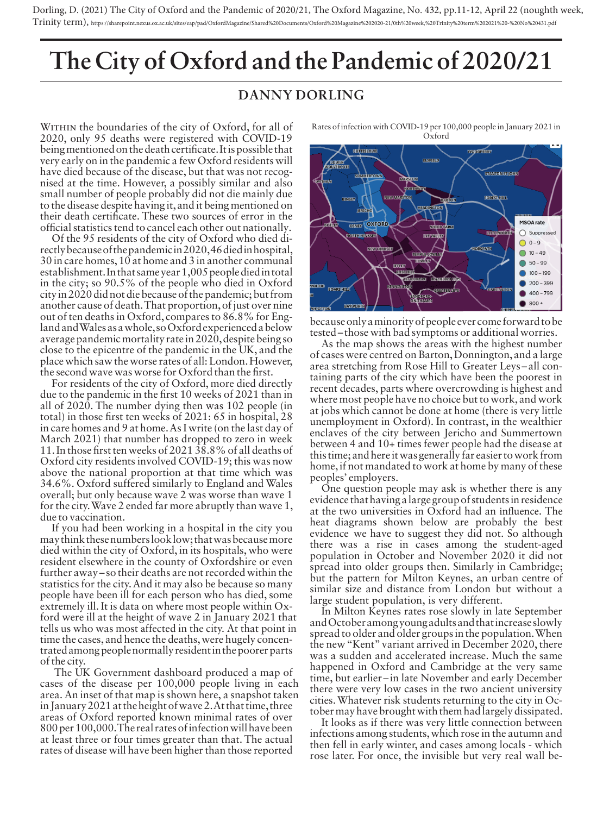Dorling, D. (2021) The City of Oxford and the Pandemic of 2020/21, The Oxford Magazine, No. 432, pp.11-12, April 22 (noughth week, Trinity term), https://sharepoint.nexus.ox.ac.uk/sites/eap/pad/OxfordMagazine/Shared%20Documents/Oxford%20Magazine%202020-21/0th%20week,%20Trinity%20term%202021%20-%20No%20431.pdf

## **The City of Oxford and the Pandemic of 2020/21**

## **DANNY DORLING**

WITHIN the boundaries of the city of Oxford, for all of 2020, only 95 deaths were registered with COVID-19 being mentioned on the death certificate. It is possible that very early on in the pandemic a few Oxford residents will have died because of the disease, but that was not recognised at the time. However, a possibly similar and also small number of people probably did not die mainly due to the disease despite having it, and it being mentioned on their death certificate. These two sources of error in the official statistics tend to cancel each other out nationally.

Of the 95 residents of the city of Oxford who died directly because of the pandemic in 2020, 46 died in hospital, 30 in care homes, 10 at home and 3 in another communal establishment. In that same year 1,005 people died in total in the city; so 90.5% of the people who died in Oxford city in 2020 did not die because of the pandemic; but from another cause of death. That proportion, of just over nine out of ten deaths in Oxford, compares to 86.8% for England and Wales as a whole, so Oxford experienced a below average pandemic mortality rate in 2020, despite being so close to the epicentre of the pandemic in the UK, and the place which saw the worse rates of all: London. However, the second wave was worse for Oxford than the first.

For residents of the city of Oxford, more died directly due to the pandemic in the first 10 weeks of 2021 than in all of 2020. The number dying then was 102 people (in total) in those first ten weeks of 2021: 65 in hospital, 28 in care homes and 9 at home. As I write (on the last day of March 2021) that number has dropped to zero in week 11. In those first ten weeks of 2021 38.8% of all deaths of Oxford city residents involved COVID-19; this was now above the national proportion at that time which was 34.6%. Oxford suffered similarly to England and Wales overall; but only because wave 2 was worse than wave 1 for the city. Wave 2 ended far more abruptly than wave 1, due to vaccination.

If you had been working in a hospital in the city you may think these numbers look low; that was because more died within the city of Oxford, in its hospitals, who were resident elsewhere in the county of Oxfordshire or even further away – so their deaths are not recorded within the statistics for the city. And it may also be because so many people have been ill for each person who has died, some extremely ill. It is data on where most people within Oxford were ill at the height of wave 2 in January 2021 that tells us who was most affected in the city. At that point in time the cases, and hence the deaths, were hugely concentrated among people normally resident in the poorer parts of the city.

The UK Government dashboard produced a map of cases of the disease per 100,000 people living in each area. An inset of that map is shown here, a snapshot taken in January 2021 at the height of wave 2. At that time, three areas of Oxford reported known minimal rates of over 800 per 100,000. The real rates of infection will have been at least three or four times greater than that. The actual rates of disease will have been higher than those reported

Rates of infection with COVID-19 per 100,000 people in January 2021 in Oxford



because only a minority of people ever come forward to be tested – those with bad symptoms or additional worries.

As the map shows the areas with the highest number of cases were centred on Barton, Donnington, and a large area stretching from Rose Hill to Greater Leys – all containing parts of the city which have been the poorest in recent decades, parts where overcrowding is highest and where most people have no choice but to work, and work at jobs which cannot be done at home (there is very little unemployment in Oxford). In contrast, in the wealthier enclaves of the city between Jericho and Summertown between 4 and 10+ times fewer people had the disease at this time; and here it was generally far easier to work from home, if not mandated to work at home by many of these peoples' employers.

One question people may ask is whether there is any evidence that having a large group of students in residence at the two universities in Oxford had an influence. The heat diagrams shown below are probably the best evidence we have to suggest they did not. So although there was a rise in cases among the student-aged population in October and November 2020 it did not spread into older groups then. Similarly in Cambridge; but the pattern for Milton Keynes, an urban centre of similar size and distance from London but without a large student population, is very different.

In Milton Keynes rates rose slowly in late September and October among young adults and that increase slowly spread to older and older groups in the population. When the new "Kent" variant arrived in December 2020, there was a sudden and accelerated increase. Much the same happened in Oxford and Cambridge at the very same time, but earlier – in late November and early December there were very low cases in the two ancient university cities. Whatever risk students returning to the city in October may have brought with them had largely dissipated.

It looks as if there was very little connection between infections among students, which rose in the autumn and then fell in early winter, and cases among locals - which rose later. For once, the invisible but very real wall be